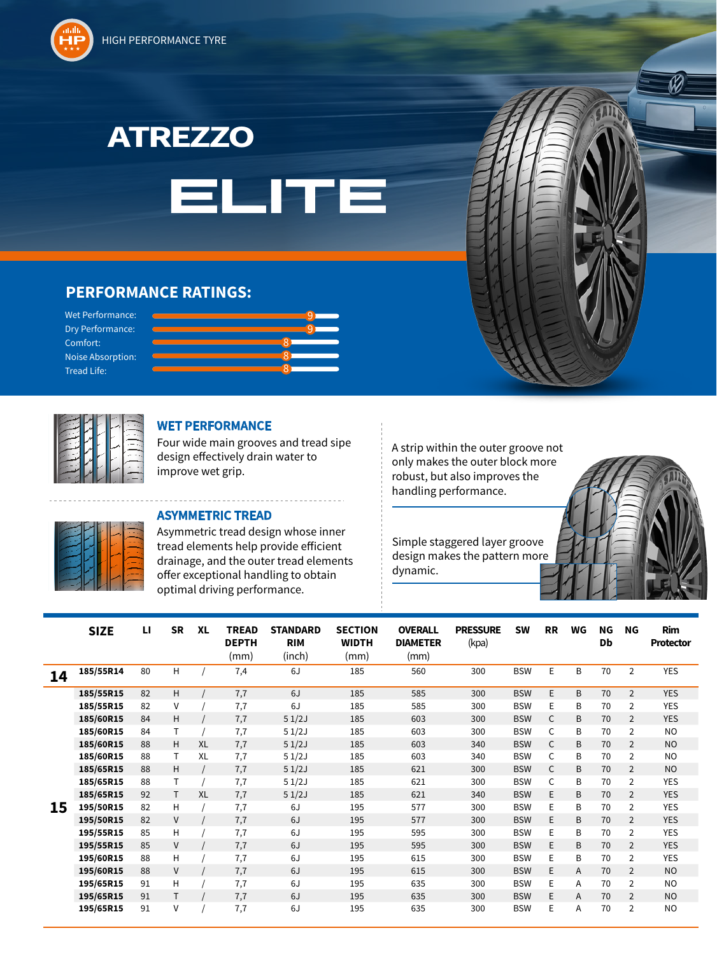HIGH PERFORMANCE TYRE





## **PERFORMANCE RATINGS:**

Wet Performance: Dry Performance: Comfort: Noise Absorption: Tread Life:

![](_page_0_Figure_5.jpeg)

![](_page_0_Picture_6.jpeg)

## **WET PERFORMANCE**

Four wide main grooves and tread sipe design e ectively drain water to improve wet grip.

## **ASYMMETRIC TREAD**

Asymmetric tread design whose inner tread elements help provide efficient drainage, and the outer tread elements offer exceptional handling to obtain optimal driving performance.

A strip within the outer groove not only makes the outer block more robust, but also improves the handling performance.

dynamic.

![](_page_0_Picture_13.jpeg)

|    | <b>SIZE</b> | ы  | <b>SR</b> | <b>XL</b> | <b>TREAD</b><br><b>DEPTH</b><br>(mm) | <b>STANDARD</b><br><b>RIM</b><br>(inch) | <b>SECTION</b><br><b>WIDTH</b><br>(mm) | <b>OVERALL</b><br><b>DIAMETER</b><br>(mm) | <b>PRESSURE</b><br>(kpa) | <b>SW</b>  | <b>RR</b>    | WG | ΝG<br>Db | NG             | <b>Rim</b><br><b>Protector</b> |
|----|-------------|----|-----------|-----------|--------------------------------------|-----------------------------------------|----------------------------------------|-------------------------------------------|--------------------------|------------|--------------|----|----------|----------------|--------------------------------|
| 14 | 185/55R14   | 80 | H         |           | 7,4                                  | 6J                                      | 185                                    | 560                                       | 300                      | <b>BSW</b> | E            | B  | 70       | $\overline{2}$ | <b>YES</b>                     |
|    | 185/55R15   | 82 | H.        |           | 7,7                                  | 6J                                      | 185                                    | 585                                       | 300                      | <b>BSW</b> | E            | B  | 70       | $\overline{2}$ | <b>YES</b>                     |
|    | 185/55R15   | 82 | v         |           | 7,7                                  | 6J                                      | 185                                    | 585                                       | 300                      | <b>BSW</b> | E            | B  | 70       | $\overline{2}$ | <b>YES</b>                     |
|    | 185/60R15   | 84 | H         |           | 7,7                                  | 51/2J                                   | 185                                    | 603                                       | 300                      | <b>BSW</b> | $\mathsf{C}$ | B  | 70       | $\overline{2}$ | <b>YES</b>                     |
|    | 185/60R15   | 84 | T         |           | 7,7                                  | 51/2J                                   | 185                                    | 603                                       | 300                      | <b>BSW</b> | $\mathsf{C}$ | B  | 70       | $\overline{2}$ | <b>NO</b>                      |
|    | 185/60R15   | 88 | H         | <b>XL</b> | 7,7                                  | 51/2J                                   | 185                                    | 603                                       | 340                      | <b>BSW</b> | $\mathsf{C}$ | B  | 70       | $\overline{2}$ | <b>NO</b>                      |
|    | 185/60R15   | 88 | Τ         | <b>XL</b> | 7,7                                  | 51/2J                                   | 185                                    | 603                                       | 340                      | <b>BSW</b> | $\mathsf{C}$ | B  | 70       | 2              | <b>NO</b>                      |
|    | 185/65R15   | 88 | H         |           | 7,7                                  | 51/2J                                   | 185                                    | 621                                       | 300                      | <b>BSW</b> | $\mathsf{C}$ | B  | 70       | $\overline{2}$ | <b>NO</b>                      |
|    | 185/65R15   | 88 | T         |           | 7,7                                  | 51/2J                                   | 185                                    | 621                                       | 300                      | <b>BSW</b> | C            | B  | 70       | 2              | <b>YES</b>                     |
|    | 185/65R15   | 92 | T.        | XL        | 7,7                                  | 51/2J                                   | 185                                    | 621                                       | 340                      | <b>BSW</b> | E            | B  | 70       | $\overline{2}$ | <b>YES</b>                     |
| 15 | 195/50R15   | 82 | H         |           | 7,7                                  | 6J                                      | 195                                    | 577                                       | 300                      | <b>BSW</b> | E            | B  | 70       | $\overline{2}$ | <b>YES</b>                     |
|    | 195/50R15   | 82 | V         |           | 7,7                                  | 6J                                      | 195                                    | 577                                       | 300                      | <b>BSW</b> | E            | B  | 70       | $\overline{2}$ | <b>YES</b>                     |
|    | 195/55R15   | 85 | н         |           | 7,7                                  | 6J                                      | 195                                    | 595                                       | 300                      | <b>BSW</b> | E            | B  | 70       | 2              | <b>YES</b>                     |
|    | 195/55R15   | 85 | V         |           | 7,7                                  | 6J                                      | 195                                    | 595                                       | 300                      | <b>BSW</b> | E            | B  | 70       | $\overline{2}$ | <b>YES</b>                     |
|    | 195/60R15   | 88 | H         |           | 7,7                                  | 6J                                      | 195                                    | 615                                       | 300                      | <b>BSW</b> | E            | B  | 70       | $\overline{2}$ | <b>YES</b>                     |
|    | 195/60R15   | 88 | V         |           | 7,7                                  | 6J                                      | 195                                    | 615                                       | 300                      | <b>BSW</b> | E.           | A  | 70       | $\overline{2}$ | <b>NO</b>                      |
|    | 195/65R15   | 91 | H         |           | 7,7                                  | 6J                                      | 195                                    | 635                                       | 300                      | <b>BSW</b> | E            | A  | 70       | $\overline{2}$ | <b>NO</b>                      |
|    | 195/65R15   | 91 | Τ         |           | 7,7                                  | 6J                                      | 195                                    | 635                                       | 300                      | <b>BSW</b> | E            | A  | 70       | $\overline{2}$ | N <sub>O</sub>                 |
|    | 195/65R15   | 91 | v         |           | 7,7                                  | 6J                                      | 195                                    | 635                                       | 300                      | <b>BSW</b> | E            | A  | 70       | $\overline{2}$ | N <sub>O</sub>                 |